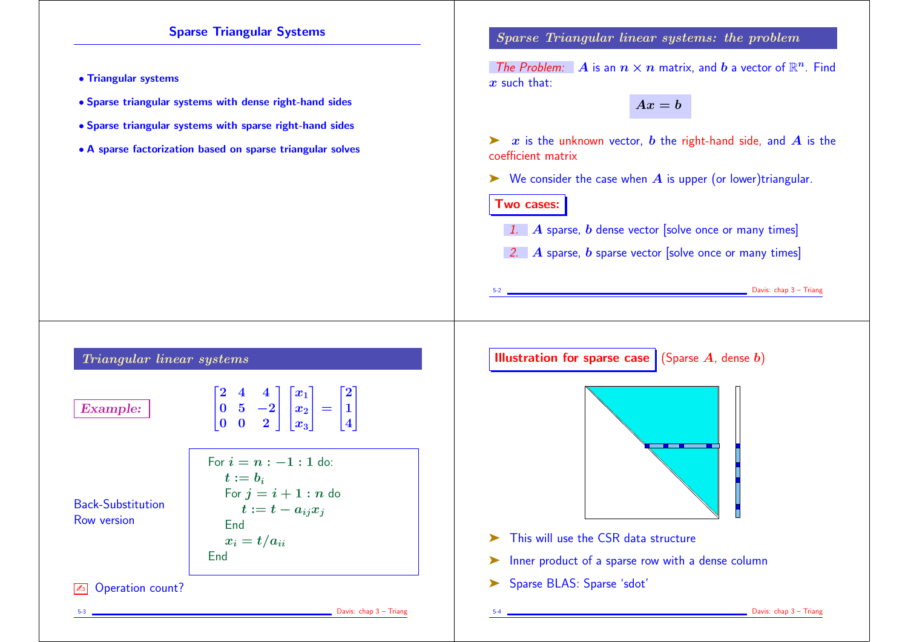## Sparse Triangular Systems

- Triangular systems
- Sparse triangular systems with dense right-hand sides
- Sparse triangular systems with sparse right-hand sides
- A sparse factorization based on sparse triangular solves

Sparse Triangular linear systems: the problem

The Problem:  $\mathbf{A}$  is an  $n \times n$  matrix, and  $\boldsymbol{b}$  a vector of  $\mathbb{R}^n$ . Find  $x$  such that:

 $Ax = b$ 

 $\triangleright$  x is the unknown vector, b the right-hand side, and A is the coefficient matrix

 $\triangleright$  We consider the case when  $\boldsymbol{A}$  is upper (or lower)triangular.

Two cases:

1. A sparse,  $b$  dense vector [solve once or many times]

2. A sparse,  $b$  sparse vector [solve once or many times]

Example 2 Davis: chap 3 – Triang

Triangular linear systems

Example:

 $\begin{bmatrix} 2 & 4 & 4 \end{bmatrix}$  $\vert$ <sup>U</sup>  $\begin{vmatrix} 0 & 5 & -2 \end{vmatrix}$  $\begin{bmatrix} 0 & 0 & 2 \end{bmatrix}$  $\begin{bmatrix} x_1 \end{bmatrix}$  $\mathbf{1}$  $\vert x \vert$  $\bm{x_2}$   $\vert$  $x_3$  ]  $\mathbb{L}$  $=$  $\lceil 2 \rceil$  $\mathbf{L}$ 1  $4$  $\mathbb{L}$  $\mathbf{L}$ 

Back-Substitution Row version

$$
\begin{bmatrix} 0 & 5 & -2 \\ 0 & 0 & 2 \end{bmatrix} \begin{bmatrix} x_2 \\ x_3 \end{bmatrix} = \begin{bmatrix} 1 \\ 4 \end{bmatrix}
$$
  
For  $i = n : -1 : 1$  do:  
 $t := b_i$   
For  $j = i + 1 : n$  do  
 $t := t - a_{ij}x_j$   
End  
 $x_i = t/a_{ii}$   
End

**ED** Operation count?

5-3 Davis: chap 3 – Triang

**Illustration for sparse case** (Sparse A, dense b)



- This will use the CSR data structure
- ➤ Inner product of a sparse row with a dense column
- ➤ Sparse BLAS: Sparse 'sdot'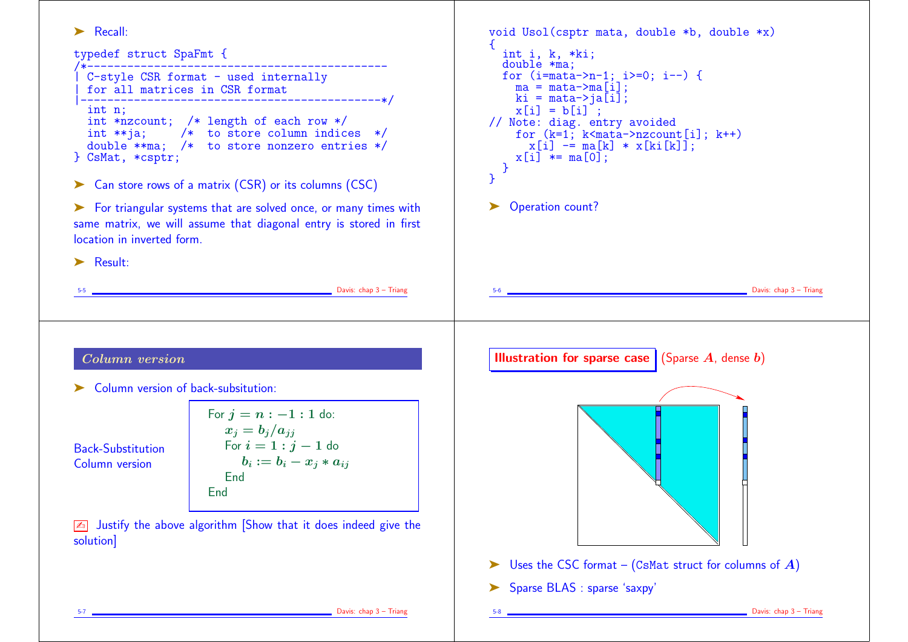➤ Recall: typedef struct SpaFmt { /\*--------------------------------------------- | C-style CSR format - used internally | for all matrices in CSR format |---------------------------------------------\*/ int n; int \*nzcount; /\* length of each row \*/<br>int \*\*ia: /\* to store column indice  $\frac{1}{\sqrt{2}}$  to store column indices \*/ double \*\*ma; /\* to store nonzero entries \*/ } CsMat, \*csptr; ➤ Can store rows of a matrix (CSR) or its columns (CSC) ➤ For triangular systems that are solved once, or many times with same matrix, we will assume that diagonal entry is stored in first location in inverted form. ➤ Result: 5-5 Davis: chap 3 – Triang void Usol(csptr mata, double \*b, double \*x) { int i, k, \*ki; double \*ma; for  $(i=mata->n-1; i>=0; i--)$  {  $ma = \text{mata}$ ->ma $\overrightarrow{ii}$ : ki = mata->ja $\overline{[i]}$ ;  $x[i] = b[i]$ ; // Note: diag. entry avoided for  $(k=1; k $\{mata\}$ ->nzcount[i];  $k++$ )$  $x[i]$  -=  $ma[k] * x[ki[k]]$ ;  $x[i]$  \*=  $ma[0]$ ; } } ▶ Operation count?  $\Box$  Davis: chap  $3$  – Triang Column version ➤ Column version of back-subsitution: Back-Substitution Column version For  $j = n : -1 : 1$  do:  $x_i = b_i/a_{ii}$ For  $i = 1 : j - 1$  do  $b_i := b_i - x_i * a_{ii}$ End **End**  $\sqrt{2\pi}$  Justify the above algorithm Show that it does indeed give the solution] **Illustration for sparse case** (Sparse  $A$ , dense  $b$ )  $\triangleright$  Uses the CSC format – (CsMat struct for columns of A)

➤ Sparse BLAS : sparse 'saxpy'

Davis: chap 3 – Triang

Davis: chap 3 – Triang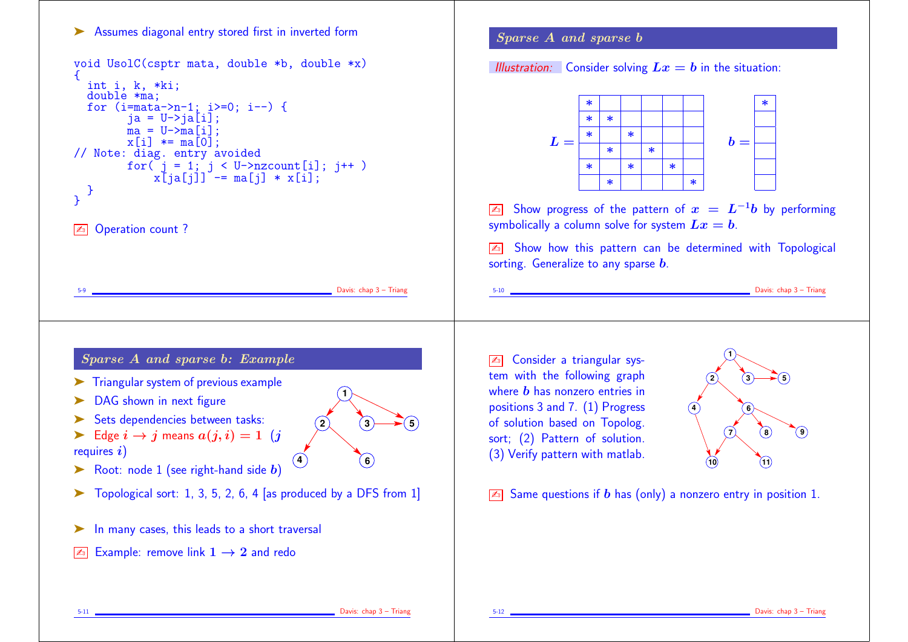## ▶ Assumes diagonal entry stored first in inverted form

```
void UsolC(csptr mata, double *b, double *x)
{
  int i, k, *ki;
  double *ma;
 for (i=mata->n-1; i>=0; i--) {
        ja = U->ja[i];ma = U-\sum ma[i];x[i] *= ma[0];
// Note: diag. entry avoided
        for( j = 1; j < U->nzcount[i]; j++ )
            x[ja[j]] -= ma[j] * x[i];
  }
}
```

```
ZD Operation count?
```
 $\Box$  Davis: chap  $3$  – Triang

**5**

**1**

**4 6**

**2 3**

## Sparse A and sparse b: Example

- ➤ Triangular system of previous example
- ▶ DAG shown in next figure
- ► Sets dependencies between tasks:
- $\blacktriangleright$  Edge  $i \rightarrow j$  means  $a(j, i) = 1$  (j requires  $i)$
- $\triangleright$  Root: node 1 (see right-hand side b)
- $\triangleright$  Topological sort: 1, 3, 5, 2, 6, 4 [as produced by a DFS from 1]
- ▶ In many cases, this leads to a short traversal
- $\boxed{\mathbb{Z}^n}$  Example: remove link  $1 \rightarrow 2$  and redo

## Sparse A and sparse b

Illustration: Consider solving  $Lx = b$  in the situation:



 $\boxed{\mathbb{Z}^n}$  Show progress of the pattern of  $x = L^{-1}b$  by performing symbolically a column solve for system  $Lx = b$ .

 $\sqrt{2n}$  Show how this pattern can be determined with Topological sorting. Generalize to any sparse  $\bm{b}$ .

 $\Box$  Davis: chap  $3$  – Triang

✍ Consider a triangular system with the following graph where  **has nonzero entries in** positions 3 and 7. (1) Progress of solution based on Topolog. sort; (2) Pattern of solution. (3) Verify pattern with matlab.



 $\sqrt{2\pi}$  Same questions if b has (only) a nonzero entry in position 1.